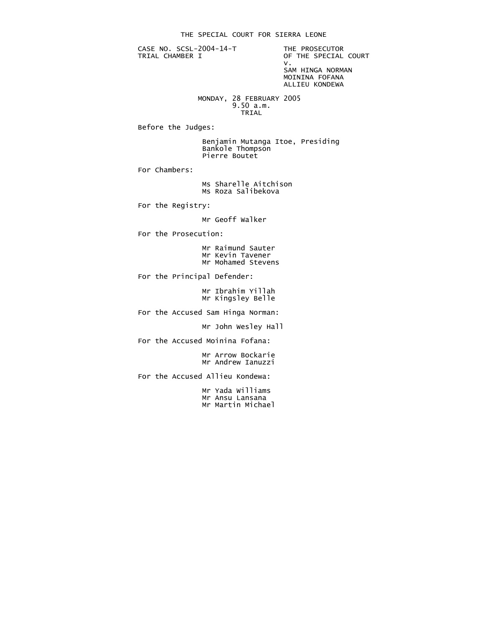CASE NO. SCSL-2004-14-T THE PROSECUTOR<br>TRIAL CHAMBER I OF THE SPECIAL

OF THE SPECIAL COURT<br>V. v. SAM HINGA NORMAN MOININA FOFANA

ALLIEU KONDEWA

 MONDAY, 28 FEBRUARY 2005 9.50 a.m.<br>TRIAL **TRIAL** 

Before the Judges:

 Benjamin Mutanga Itoe, Presiding Bankole Thompson Pierre Boutet

For Chambers:

 Ms Sharelle Aitchison Ms Roza Salibekova

For the Registry:

Mr Geoff Walker

For the Prosecution:

 Mr Raimund Sauter Mr Kevin Tavener Mr Mohamed Stevens

For the Principal Defender:

 Mr Ibrahim Yillah Mr Kingsley Belle

For the Accused Sam Hinga Norman:

Mr John Wesley Hall

For the Accused Moinina Fofana:

 Mr Arrow Bockarie Mr Andrew Ianuzzi

For the Accused Allieu Kondewa:

 Mr Yada Williams Mr Ansu Lansana Mr Martin Michael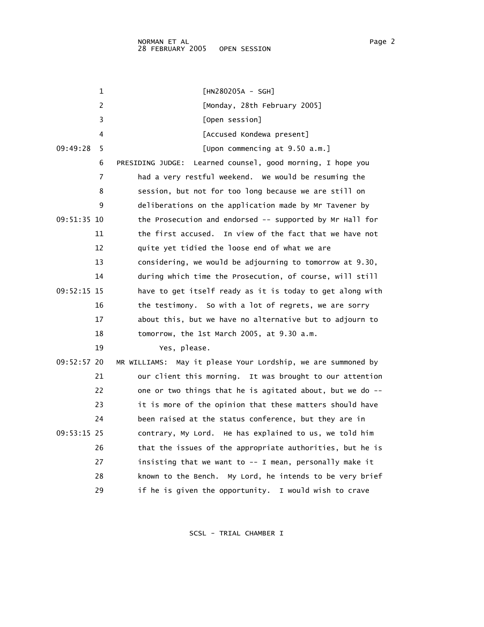| 1             | $[HN280205A - SGH]$                                           |
|---------------|---------------------------------------------------------------|
| 2             | [Monday, 28th February 2005]                                  |
| 3             | [Open session]                                                |
| 4             | [Accused Kondewa present]                                     |
| 09:49:28<br>5 | [Upon commencing at $9.50$ a.m.]                              |
| 6             | Learned counsel, good morning, I hope you<br>PRESIDING JUDGE: |
| 7             | had a very restful weekend. We would be resuming the          |
| 8             | session, but not for too long because we are still on         |
| 9             | deliberations on the application made by Mr Tavener by        |
| 09:51:35 10   | the Prosecution and endorsed -- supported by Mr Hall for      |
| 11            | the first accused. In view of the fact that we have not       |
| 12            | quite yet tidied the loose end of what we are                 |
| 13            | considering, we would be adjourning to tomorrow at 9.30,      |
| 14            | during which time the Prosecution, of course, will still      |
| 09:52:15 15   | have to get itself ready as it is today to get along with     |
| 16            | the testimony. So with a lot of regrets, we are sorry         |
| 17            | about this, but we have no alternative but to adjourn to      |
| 18            | tomorrow, the 1st March 2005, at 9.30 a.m.                    |
| 19            | Yes, please.                                                  |
| 09:52:57 20   | MR WILLIAMS: May it please Your Lordship, we are summoned by  |
| 21            | our client this morning. It was brought to our attention      |
| 22            | one or two things that he is agitated about, but we do --     |
| 23            | it is more of the opinion that these matters should have      |
| 24            | been raised at the status conference, but they are in         |
| 09:53:15 25   | contrary, My Lord. He has explained to us, we told him        |
| 26            | that the issues of the appropriate authorities, but he is     |
| 27            | insisting that we want to -- I mean, personally make it       |
| 28            | known to the Bench. My Lord, he intends to be very brief      |
| 29            | if he is given the opportunity.<br>I would wish to crave      |

SCSL - TRIAL CHAMBER I